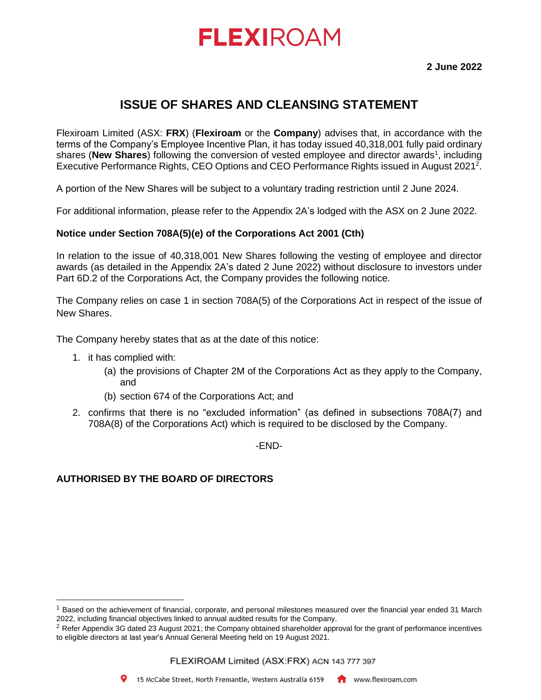# **FLEXIROAM**

## **ISSUE OF SHARES AND CLEANSING STATEMENT**

Flexiroam Limited (ASX: **FRX**) (**Flexiroam** or the **Company**) advises that, in accordance with the terms of the Company's Employee Incentive Plan, it has today issued 40,318,001 fully paid ordinary shares (New Shares) following the conversion of vested employee and director awards<sup>1</sup>, including Executive Performance Rights, CEO Options and CEO Performance Rights issued in August 2021<sup>2</sup>.

A portion of the New Shares will be subject to a voluntary trading restriction until 2 June 2024.

For additional information, please refer to the Appendix 2A's lodged with the ASX on 2 June 2022.

### **Notice under Section 708A(5)(e) of the Corporations Act 2001 (Cth)**

In relation to the issue of 40,318,001 New Shares following the vesting of employee and director awards (as detailed in the Appendix 2A's dated 2 June 2022) without disclosure to investors under Part 6D.2 of the Corporations Act, the Company provides the following notice.

The Company relies on case 1 in section 708A(5) of the Corporations Act in respect of the issue of New Shares.

The Company hereby states that as at the date of this notice:

- 1. it has complied with:
	- (a) the provisions of Chapter 2M of the Corporations Act as they apply to the Company, and
	- (b) section 674 of the Corporations Act; and
- 2. confirms that there is no "excluded information" (as defined in subsections 708A(7) and 708A(8) of the Corporations Act) which is required to be disclosed by the Company.

-END-

### **AUTHORISED BY THE BOARD OF DIRECTORS**



<sup>&</sup>lt;sup>1</sup> Based on the achievement of financial, corporate, and personal milestones measured over the financial year ended 31 March 2022, including financial objectives linked to annual audited results for the Company.

<sup>&</sup>lt;sup>2</sup> Refer Appendix 3G dated 23 August 2021; the Company obtained shareholder approval for the grant of performance incentives to eligible directors at last year's Annual General Meeting held on 19 August 2021.